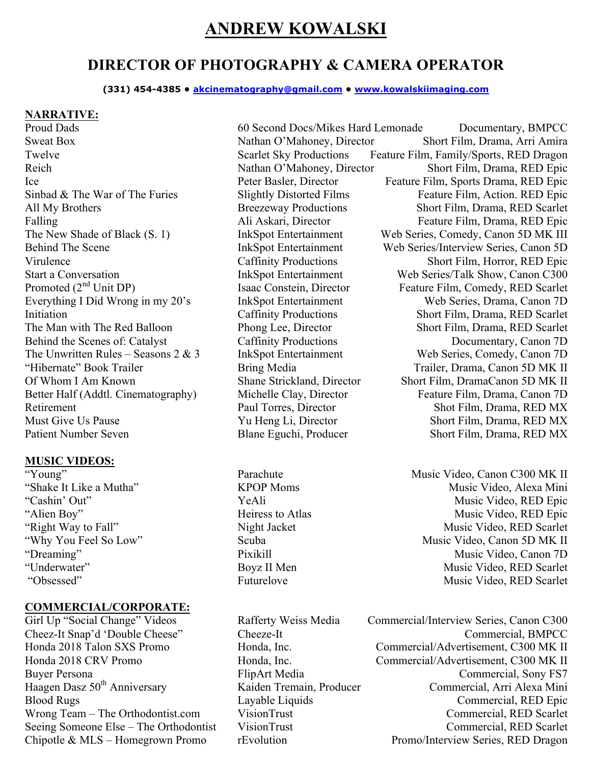# **ANDREW KOWALSKI**

## **DIRECTOR OF PHOTOGRAPHY & CAMERA OPERATOR**

**(331) 454-4385 • akcinematography@gmail.com • www.kowalskiimaging.com**

#### **NARRATIVE:**

Everything I Did Wrong in my 20's InkSpot Entertainment Behind the Scenes of: Catalyst Caffinity Productions Patient Number Seven Blane Eguchi, Producer Short Film, Drama, RED MX

#### **MUSIC VIDEOS:**

#### **COMMERCIAL/CORPORATE:**

Proud Dads 60 Second Docs/Mikes Hard Lemonade Documentary, BMPCC Sweat Box Nathan O'Mahoney, Director Short Film, Drama, Arri Amira Twelve Scarlet Sky Productions Feature Film, Family/Sports, RED Dragon<br>Reich Nathan O'Mahoney, Director Short Film, Drama, RED Epic Reich Nathan O'Mahoney, Director Short Film, Drama, RED Epic Ice Peter Basler, Director Feature Film, Sports Drama, RED Epic Sinbad & The War of The Furies Slightly Distorted Films Feature Film, Action. RED Epic All My Brothers Breezeway Productions Short Film, Drama, RED Scarlet Falling Ali Askari, Director Feature Film, Drama, RED Epic The New Shade of Black (S. 1) InkSpot Entertainment Web Series, Comedy, Canon 5D MK III Behind The Scene InkSpot Entertainment Web Series/Interview Series, Canon 5D Virulence Caffinity Productions Short Film, Horror, RED Epic Start a Conversation InkSpot Entertainment Web Series/Talk Show, Canon C300<br>
Promoted (2<sup>nd</sup> Unit DP) Isaac Constein, Director Feature Film, Comedy, RED Scarlet Isaac Constein, Director Feature Film, Comedy, RED Scarlet<br>Ink Spot Entertainment Web Series, Drama, Canon 7D Initiation Caffinity Productions Short Film, Drama, RED Scarlet The Man with The Red Balloon Phong Lee, Director Short Film, Drama, RED Scarlet Behind the Scenes of: Catalyst Caffinity Productions Documentary, Canon 7D The Unwritten Rules – Seasons 2 & 3 InkSpot Entertainment Web Series, Comedy, Canon 7D "Hibernate" Book Trailer Bring Media Trailer, Drama, Canon 5D MK II Of Whom I Am Known Shane Strickland, Director Short Film, DramaCanon 5D MK II Better Half (Addtl. Cinematography) Michelle Clay, Director Feature Film, Drama, Canon 7D Retirement Paul Torres, Director Shot Film, Drama, RED MX Must Give Us Pause Yu Heng Li, Director Short Film, Drama, RED MX

"Young" Parachute Parachute Music Video, Canon C300 MK II "Shake It Like a Mutha" KPOP Moms Nusic Video, Alexa Mini "Cashin' Out" YeAli YeAli Music Video, RED Epic "Alien Boy" Heiress to Atlas Music Video, RED Epic "Right Way to Fall" Night Jacket Music Video, RED Scarlet<br>"Why You Feel So Low" Scuba Music Video, Canon 5D MK II Scuba Music Video, Canon 5D MK II "Dreaming" Pixikill Pixikill Music Video, Canon 7D "Underwater" Boyz II Men Music Video, RED Scarlet "Obsessed" Futurelove Futurelove Music Video, RED Scarlet

Girl Up "Social Change" Videos Rafferty Weiss Media Commercial/Interview Series, Canon C300 Cheez-It Snap'd 'Double Cheese" Cheeze-It Commercial, BMPCC Honda 2018 Talon SXS Promo Honda, Inc. Commercial/Advertisement, C300 MK II Honda 2018 CRV Promo Honda, Inc. Commercial/Advertisement, C300 MK II Buyer Persona FlipArt Media Commercial, Sony FS7 Haagen Dasz 50<sup>th</sup> Anniversary Kaiden Tremain, Producer Commercial, Arri Alexa Mini Blood Rugs Layable Liquids<br>
Unity Commercial, RED Epic<br>
Unity Commercial RED Scarlet<br>
Commercial RED Scarlet Wrong Team – The Orthodontist.com VisionTrust Commercial, RED Scarlet Seeing Someone Else – The Orthodontist VisionTrust Commercial, RED Scarlet Chipotle & MLS – Homegrown Promo rEvolution Promo/Interview Series, RED Dragon